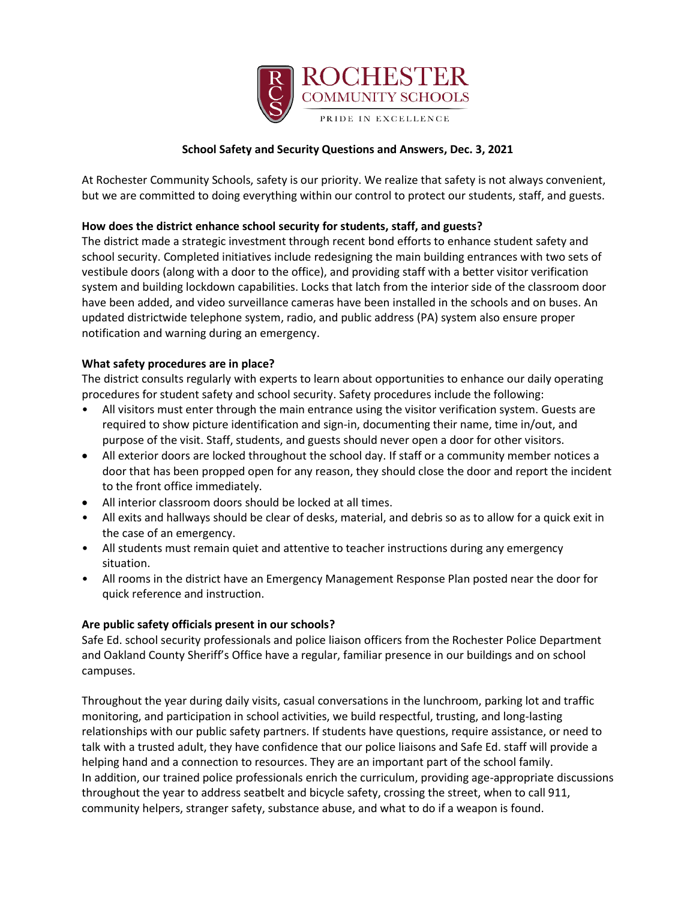

# **School Safety and Security Questions and Answers, Dec. 3, 2021**

At Rochester Community Schools, safety is our priority. We realize that safety is not always convenient, but we are committed to doing everything within our control to protect our students, staff, and guests.

## **How does the district enhance school security for students, staff, and guests?**

The district made a strategic investment through recent bond efforts to enhance student safety and school security. Completed initiatives include redesigning the main building entrances with two sets of vestibule doors (along with a door to the office), and providing staff with a better visitor verification system and building lockdown capabilities. Locks that latch from the interior side of the classroom door have been added, and video surveillance cameras have been installed in the schools and on buses. An updated districtwide telephone system, radio, and public address (PA) system also ensure proper notification and warning during an emergency.

### **What safety procedures are in place?**

The district consults regularly with experts to learn about opportunities to enhance our daily operating procedures for student safety and school security. Safety procedures include the following:

- All visitors must enter through the main entrance using the visitor verification system. Guests are required to show picture identification and sign-in, documenting their name, time in/out, and purpose of the visit. Staff, students, and guests should never open a door for other visitors.
- All exterior doors are locked throughout the school day. If staff or a community member notices a door that has been propped open for any reason, they should close the door and report the incident to the front office immediately.
- All interior classroom doors should be locked at all times.
- All exits and hallways should be clear of desks, material, and debris so as to allow for a quick exit in the case of an emergency.
- All students must remain quiet and attentive to teacher instructions during any emergency situation.
- All rooms in the district have an Emergency Management Response Plan posted near the door for quick reference and instruction.

### **Are public safety officials present in our schools?**

Safe Ed. school security professionals and police liaison officers from the Rochester Police Department and Oakland County Sheriff's Office have a regular, familiar presence in our buildings and on school campuses.

Throughout the year during daily visits, casual conversations in the lunchroom, parking lot and traffic monitoring, and participation in school activities, we build respectful, trusting, and long-lasting relationships with our public safety partners. If students have questions, require assistance, or need to talk with a trusted adult, they have confidence that our police liaisons and Safe Ed. staff will provide a helping hand and a connection to resources. They are an important part of the school family. In addition, our trained police professionals enrich the curriculum, providing age-appropriate discussions throughout the year to address seatbelt and bicycle safety, crossing the street, when to call 911, community helpers, stranger safety, substance abuse, and what to do if a weapon is found.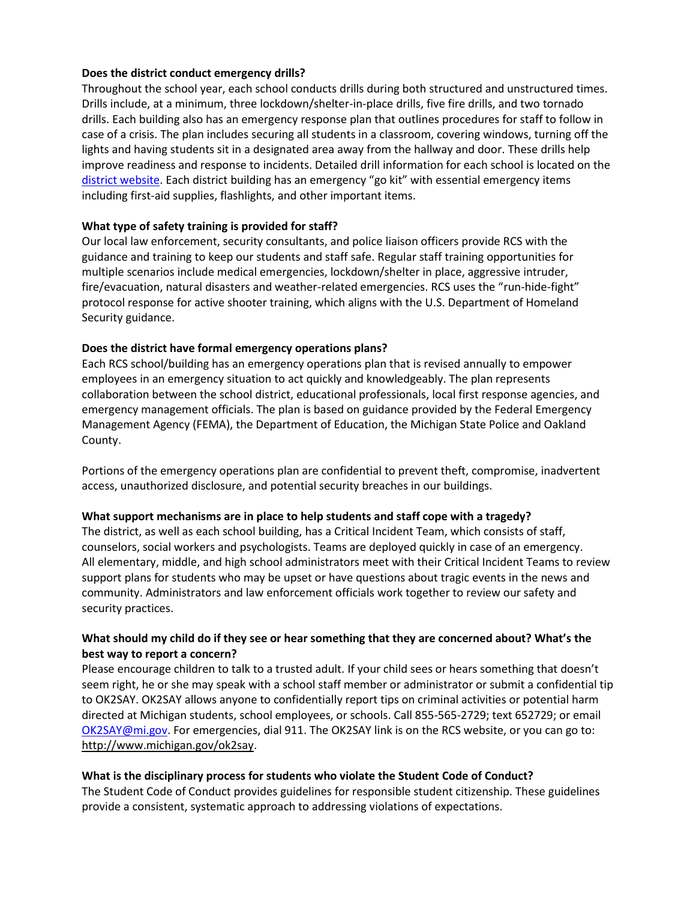### **Does the district conduct emergency drills?**

Throughout the school year, each school conducts drills during both structured and unstructured times. Drills include, at a minimum, three lockdown/shelter-in-place drills, five fire drills, and two tornado drills. Each building also has an emergency response plan that outlines procedures for staff to follow in case of a crisis. The plan includes securing all students in a classroom, covering windows, turning off the lights and having students sit in a designated area away from the hallway and door. These drills help improve readiness and response to incidents. Detailed drill information for each school is located on the [district website.](https://www.rochester.k12.mi.us/academics/safety-securty) Each district building has an emergency "go kit" with essential emergency items including first-aid supplies, flashlights, and other important items.

### **What type of safety training is provided for staff?**

Our local law enforcement, security consultants, and police liaison officers provide RCS with the guidance and training to keep our students and staff safe. Regular staff training opportunities for multiple scenarios include medical emergencies, lockdown/shelter in place, aggressive intruder, fire/evacuation, natural disasters and weather-related emergencies. RCS uses the "run-hide-fight" protocol response for active shooter training, which aligns with the U.S. Department of Homeland Security guidance.

#### **Does the district have formal emergency operations plans?**

Each RCS school/building has an emergency operations plan that is revised annually to empower employees in an emergency situation to act quickly and knowledgeably. The plan represents collaboration between the school district, educational professionals, local first response agencies, and emergency management officials. The plan is based on guidance provided by the Federal Emergency Management Agency (FEMA), the Department of Education, the Michigan State Police and Oakland County.

Portions of the emergency operations plan are confidential to prevent theft, compromise, inadvertent access, unauthorized disclosure, and potential security breaches in our buildings.

### **What support mechanisms are in place to help students and staff cope with a tragedy?**

The district, as well as each school building, has a Critical Incident Team, which consists of staff, counselors, social workers and psychologists. Teams are deployed quickly in case of an emergency. All elementary, middle, and high school administrators meet with their Critical Incident Teams to review support plans for students who may be upset or have questions about tragic events in the news and community. Administrators and law enforcement officials work together to review our safety and security practices.

## **What should my child do if they see or hear something that they are concerned about? What's the best way to report a concern?**

Please encourage children to talk to a trusted adult. If your child sees or hears something that doesn't seem right, he or she may speak with a school staff member or administrator or submit a confidential tip to OK2SAY. OK2SAY allows anyone to confidentially report tips on criminal activities or potential harm directed at Michigan students, school employees, or schools. Call 855-565-2729; text 652729; or email [OK2SAY@mi.gov.](mailto:OK2SAY@mi.gov) For emergencies, dial 911. The OK2SAY link is on the RCS website, or you can go to: [http://www.michigan.gov/ok2say.](http://www.michigan.gov/ok2say)

### **What is the disciplinary process for students who violate the Student Code of Conduct?**

The Student Code of Conduct provides guidelines for responsible student citizenship. These guidelines provide a consistent, systematic approach to addressing violations of expectations.